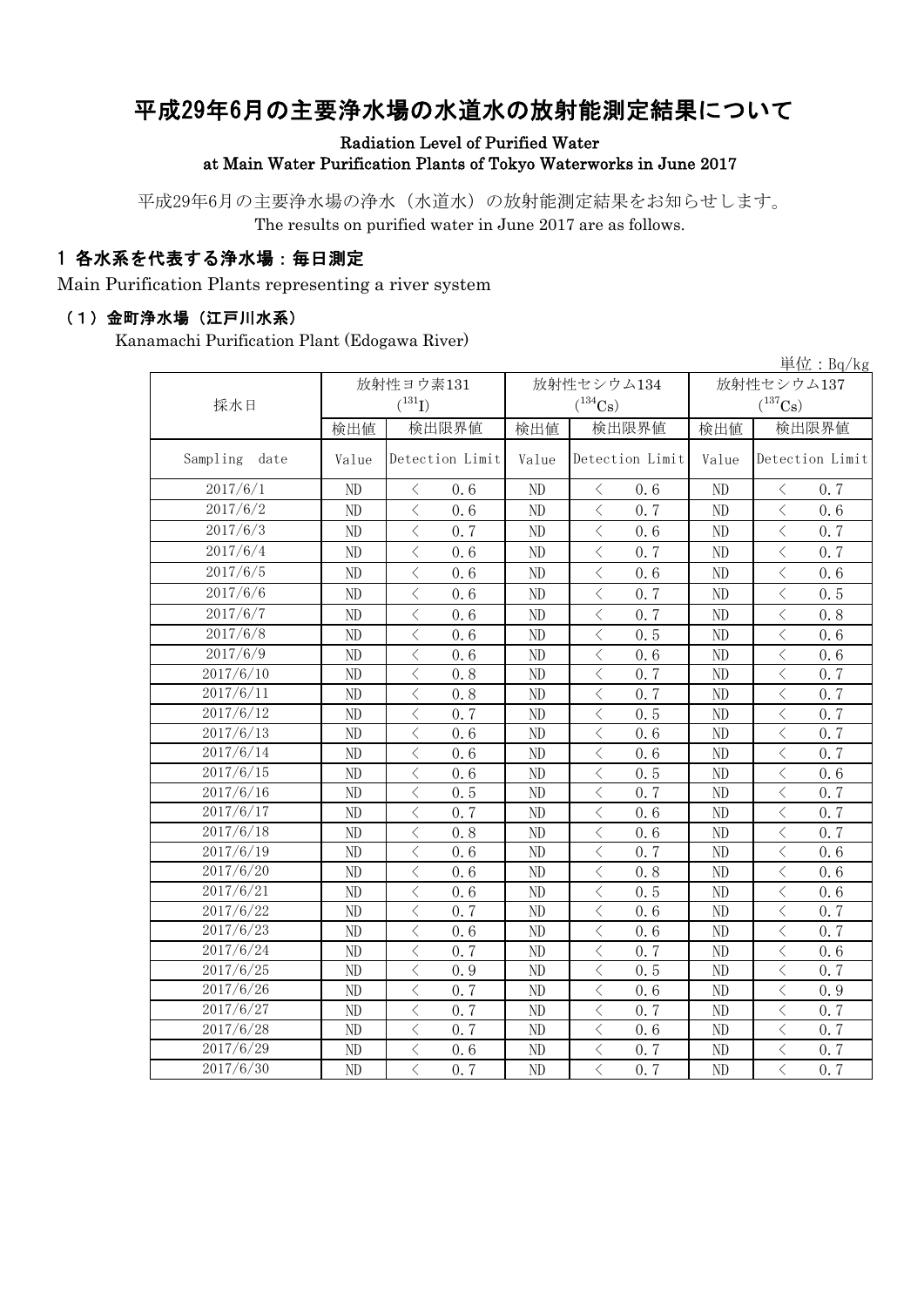# 平成29年6月の主要浄水場の水道水の放射能測定結果について

Radiation Level of Purified Water at Main Water Purification Plants of Tokyo Waterworks in June 2017

平成29年6月の主要浄水場の浄水(水道水)の放射能測定結果をお知らせします。 The results on purified water in June 2017 are as follows.

#### 1 各水系を代表する浄水場:毎日測定

Main Purification Plants representing a river system

#### (1)金町浄水場(江戸川水系)

Kanamachi Purification Plant (Edogawa River)

|                  |                |                                                  |          |                                                                                                                                                                                                                                                                                                                                                                                                                                                                                                                                                                                                                                                                                           |                | 単位: $Bq/kg$                                      |  |
|------------------|----------------|--------------------------------------------------|----------|-------------------------------------------------------------------------------------------------------------------------------------------------------------------------------------------------------------------------------------------------------------------------------------------------------------------------------------------------------------------------------------------------------------------------------------------------------------------------------------------------------------------------------------------------------------------------------------------------------------------------------------------------------------------------------------------|----------------|--------------------------------------------------|--|
|                  |                | 放射性ヨウ素131                                        |          | 放射性セシウム134                                                                                                                                                                                                                                                                                                                                                                                                                                                                                                                                                                                                                                                                                | 放射性セシウム137     |                                                  |  |
| 採水日              |                | $({}^{131}\text{I})$                             |          | $(^{134}\mathrm{Cs})$                                                                                                                                                                                                                                                                                                                                                                                                                                                                                                                                                                                                                                                                     |                | $(^{137}Cs)$                                     |  |
|                  | 検出値            | 検出限界値                                            | 検出値      | 検出限界値                                                                                                                                                                                                                                                                                                                                                                                                                                                                                                                                                                                                                                                                                     | 検出値            | 検出限界値                                            |  |
| Sampling<br>date | Value          | Detection Limit                                  | Value    | Detection Limit                                                                                                                                                                                                                                                                                                                                                                                                                                                                                                                                                                                                                                                                           | Value          | Detection Limit                                  |  |
| 2017/6/1         | ND             | 0, 6<br>$\langle$                                | ND       | 0, 6<br>$\langle$                                                                                                                                                                                                                                                                                                                                                                                                                                                                                                                                                                                                                                                                         | ND             | 0, 7<br>$\lt$                                    |  |
| 2017/6/2         | N <sub>D</sub> | $\langle$<br>0, 6                                | ND       | $\langle$<br>0.7                                                                                                                                                                                                                                                                                                                                                                                                                                                                                                                                                                                                                                                                          | ND             | $\langle$<br>0, 6                                |  |
| 2017/6/3         | ND             | $\overline{\left\langle \right\rangle }$<br>0.7  | ND       | $\overline{\left\langle \right\rangle }$<br>0.6                                                                                                                                                                                                                                                                                                                                                                                                                                                                                                                                                                                                                                           | $\rm ND$       | $\langle$<br>0.7                                 |  |
| 2017/6/4         | ND             | $\langle$<br>0.6                                 | ND       | $\bigl\langle$<br>0.7                                                                                                                                                                                                                                                                                                                                                                                                                                                                                                                                                                                                                                                                     | ND             | $\lt$<br>0.7                                     |  |
| 2017/6/5         | ND             | $\lt$<br>0.6                                     | ND       | $\, \leq$<br>0.6                                                                                                                                                                                                                                                                                                                                                                                                                                                                                                                                                                                                                                                                          | ND             | $\lt$<br>0.6                                     |  |
| 2017/6/6         | ND             | $\overline{\left\langle \right\rangle }$<br>0.6  | ND       | $\lt$<br>0.7                                                                                                                                                                                                                                                                                                                                                                                                                                                                                                                                                                                                                                                                              | ND             | $\lt$<br>0.5                                     |  |
| 2017/6/7         | ND             | $\overline{\langle}$<br>0.6                      | ND       | $\overline{\left\langle \right\rangle }$<br>0.7                                                                                                                                                                                                                                                                                                                                                                                                                                                                                                                                                                                                                                           | ND             | $\overline{\left\langle \right\rangle }$<br>0, 8 |  |
| 2017/6/8         | N <sub>D</sub> | $\overline{\left\langle \right\rangle }$<br>0.6  | ND       | $\overline{\left\langle \right\rangle }$<br>0.5                                                                                                                                                                                                                                                                                                                                                                                                                                                                                                                                                                                                                                           | ND             | $\langle$<br>0.6                                 |  |
| 2017/6/9         | N <sub>D</sub> | $\overline{\left\langle \right\rangle }$<br>0, 6 | ND       | $\lt$<br>0.6                                                                                                                                                                                                                                                                                                                                                                                                                                                                                                                                                                                                                                                                              | ND             | $\langle$<br>0.6                                 |  |
| 2017/6/10        | ND             | $\lt$<br>0.8                                     | ND       | $\lt$<br>0.7                                                                                                                                                                                                                                                                                                                                                                                                                                                                                                                                                                                                                                                                              | ND             | $\langle$<br>0.7                                 |  |
| 2017/6/11        | ND             | $\overline{\left\langle \right\rangle }$<br>0.8  | ND       | $\overline{\left\langle \right\rangle }$<br>0.7                                                                                                                                                                                                                                                                                                                                                                                                                                                                                                                                                                                                                                           | ND             | $\overline{\left\langle \right\rangle }$<br>0.7  |  |
| 2017/6/12        | ND             | $\overline{\left\langle \right\rangle }$<br>0.7  | ND       | $\overline{\left\langle \right. }% ,\left\langle \overline{\left\langle \right. }% ,\left\langle \overline{\left\langle \right\rangle }\right\rangle \right.$<br>0.5                                                                                                                                                                                                                                                                                                                                                                                                                                                                                                                      | $\rm ND$       | $\langle$<br>0.7                                 |  |
| 2017/6/13        | ND             | $\overline{\left\langle \right\rangle }$<br>0.6  | ND       | $\overline{\left\langle \right. }% ,\left\langle \overline{\left\langle \right. }% ,\left\langle \overline{\left\langle \right\rangle }\right\rangle \right.$<br>0.6                                                                                                                                                                                                                                                                                                                                                                                                                                                                                                                      | ND             | $\lt$<br>0.7                                     |  |
| 2017/6/14        | ND             | $\lt$<br>0.6                                     | ND       | $\bigl\langle$<br>0.6                                                                                                                                                                                                                                                                                                                                                                                                                                                                                                                                                                                                                                                                     | ND             | $\langle$<br>0.7                                 |  |
| 2017/6/15        | ND             | $\overline{\left\langle \right\rangle }$<br>0.6  | ND       | $\overline{\left\langle \right. }% ,\left\langle \overline{\left\langle \right. }\right\rangle _{0}\right\langle \left. \overline{\left\langle \right. }\right\rangle _{0}\left\langle \overline{\left\langle \right. }\right\rangle _{0}\left\langle \overline{\left\langle \right. }\right\rangle _{0}\left\langle \overline{\left\langle \right. }\right\rangle _{0}\left\langle \overline{\left\langle \right. }\right\rangle _{0}\left\langle \overline{\left\langle \right. }\right\rangle _{0}\left\langle \overline{\left\langle \right. }\right\rangle _{0}\left\langle \overline{\left\langle \right. }\right\rangle _{0}\left\langle \overline{\left\langle \right. }\$<br>0.5 | ND             | $\langle$<br>0.6                                 |  |
| 2017/6/16        | ND             | $\overline{\left\langle \right\rangle }$<br>0.5  | ND       | $\overline{\left\langle \right. }% ,\left\langle \overline{\left\langle \right. }% ,\left\langle \overline{\left\langle \right\rangle }\right\rangle \right.$<br>0.7                                                                                                                                                                                                                                                                                                                                                                                                                                                                                                                      | ND             | $\langle$<br>0.7                                 |  |
| 2017/6/17        | ND             | $\overline{\left\langle \right\rangle }$<br>0.7  | ND       | $\lt$<br>0.6                                                                                                                                                                                                                                                                                                                                                                                                                                                                                                                                                                                                                                                                              | ND             | $\langle$<br>0.7                                 |  |
| 2017/6/18        | ND             | $\lt$<br>0, 8                                    | ND       | $\lt$<br>0.6                                                                                                                                                                                                                                                                                                                                                                                                                                                                                                                                                                                                                                                                              | ND             | $\lt$<br>0.7                                     |  |
| 2017/6/19        | ND             | $\langle$<br>0, 6                                | ND       | $\lt$<br>0, 7                                                                                                                                                                                                                                                                                                                                                                                                                                                                                                                                                                                                                                                                             | ND             | $\langle$<br>0, 6                                |  |
| 2017/6/20        | ND             | $\overline{\left\langle \right\rangle }$<br>0, 6 | ND       | $\lt$<br>0.8                                                                                                                                                                                                                                                                                                                                                                                                                                                                                                                                                                                                                                                                              | ND             | $\langle$<br>0, 6                                |  |
| 2017/6/21        | ND             | $\langle$<br>0.6                                 | $\rm ND$ | $\langle$<br>0.5                                                                                                                                                                                                                                                                                                                                                                                                                                                                                                                                                                                                                                                                          | $\rm ND$       | $\langle$<br>0.6                                 |  |
| 2017/6/22        | ND             | $\overline{\left\langle \right\rangle }$<br>0.7  | ND       | $\langle$<br>0.6                                                                                                                                                                                                                                                                                                                                                                                                                                                                                                                                                                                                                                                                          | $\rm ND$       | $\lt$<br>0.7                                     |  |
| 2017/6/23        | ND             | $\overline{\left\langle \right\rangle }$<br>0.6  | ND       | $\lt$<br>0.6                                                                                                                                                                                                                                                                                                                                                                                                                                                                                                                                                                                                                                                                              | ND             | $\lt$<br>0.7                                     |  |
| 2017/6/24        | ND             | $\overline{\left\langle \right\rangle }$<br>0.7  | ND       | 0.7<br>$\, \leq$                                                                                                                                                                                                                                                                                                                                                                                                                                                                                                                                                                                                                                                                          | ND             | $\langle$<br>0.6                                 |  |
| 2017/6/25        | ND             | $\overline{\left\langle \right\rangle }$<br>0.9  | ND       | $\overline{\left\langle \right\rangle }$<br>0.5                                                                                                                                                                                                                                                                                                                                                                                                                                                                                                                                                                                                                                           | ND             | $\overline{\left\langle \right\rangle }$<br>0.7  |  |
| 2017/6/26        | ND             | $\overline{\left\langle \right\rangle }$<br>0.7  | ND       | $\overline{\left\langle \right\rangle }$<br>0.6                                                                                                                                                                                                                                                                                                                                                                                                                                                                                                                                                                                                                                           | ND             | $\overline{\left\langle \right\rangle }$<br>0.9  |  |
| 2017/6/27        | ND             | $\overline{\left\langle \right\rangle }$<br>0.7  | ND       | $\overline{\left\langle \right\rangle }$<br>0.7                                                                                                                                                                                                                                                                                                                                                                                                                                                                                                                                                                                                                                           | ND             | $\overline{\left\langle \right\rangle }$<br>0.7  |  |
| 2017/6/28        | ND             | $\overline{\left\langle \right\rangle }$<br>0.7  | ND       | $\langle$<br>0.6                                                                                                                                                                                                                                                                                                                                                                                                                                                                                                                                                                                                                                                                          | N <sub>D</sub> | 0.7<br>$\langle$                                 |  |
| 2017/6/29        | ND             | $\overline{\left\langle \right\rangle }$<br>0.6  | ND       | $\lt$<br>0.7                                                                                                                                                                                                                                                                                                                                                                                                                                                                                                                                                                                                                                                                              | ND             | $\lt$<br>0.7                                     |  |
| 2017/6/30        | ND             | $\overline{\left\langle \right\rangle }$<br>0.7  | ND       | $\langle$<br>0.7                                                                                                                                                                                                                                                                                                                                                                                                                                                                                                                                                                                                                                                                          | ND             | $\overline{\langle}$<br>0.7                      |  |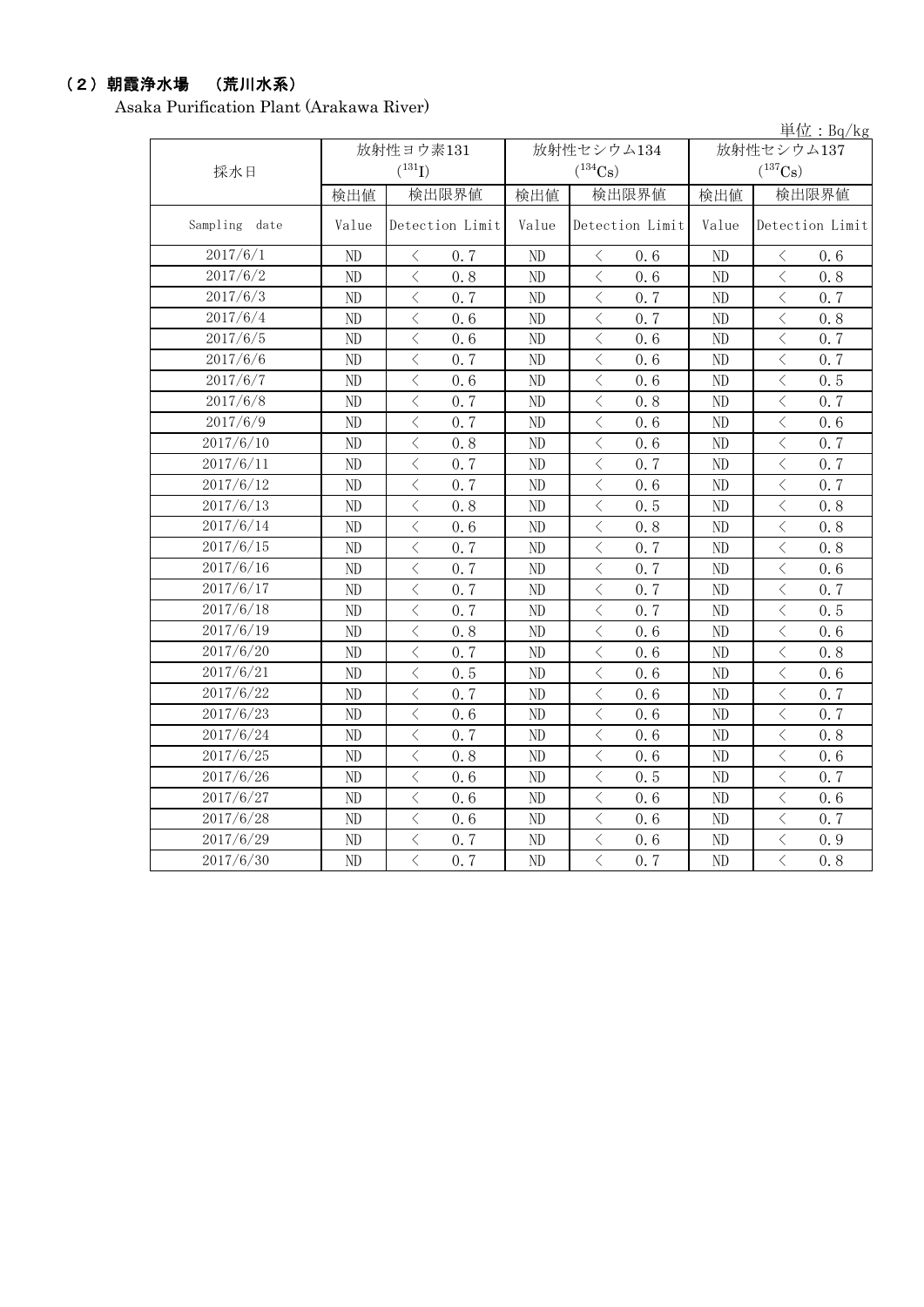### (2)朝霞浄水場 (荒川水系)

Asaka Purification Plant (Arakawa River)

|               |       |                                                 |          |                                                                                                                                                                      |          | 単位: Bg/kg                                        |  |
|---------------|-------|-------------------------------------------------|----------|----------------------------------------------------------------------------------------------------------------------------------------------------------------------|----------|--------------------------------------------------|--|
|               |       | 放射性ヨウ素131                                       |          | 放射性セシウム134                                                                                                                                                           |          | 放射性セシウム137                                       |  |
| 採水日           |       | $(^{131}I)$                                     |          | $(^{134}Cs)$                                                                                                                                                         |          | $(^{137}Cs)$                                     |  |
|               | 検出値   | 検出限界値                                           | 検出値      | 検出限界値                                                                                                                                                                | 検出値      | 検出限界値                                            |  |
| Sampling date | Value | Detection Limit                                 | Value    | Detection Limit                                                                                                                                                      | Value    | Detection Limit                                  |  |
| 2017/6/1      | ND    | $\langle$<br>0.7                                | ND       | $\lt$<br>0, 6                                                                                                                                                        | ND       | $\langle$<br>0, 6                                |  |
| 2017/6/2      | ND    | $\overline{\langle}$<br>0.8                     | ND       | $\overline{\langle}$<br>0.6                                                                                                                                          | ND       | $\overline{\left\langle \right\rangle }$<br>0.8  |  |
| 2017/6/3      | ND    | $\langle$<br>0.7                                | $\rm ND$ | $\,$ $\,$ $\,$<br>0.7                                                                                                                                                | ND       | $\, < \,$<br>0.7                                 |  |
| 2017/6/4      | ND    | $\langle$<br>0.6                                | ND       | $\lt$<br>0.7                                                                                                                                                         | ND       | $\lt$<br>0.8                                     |  |
| 2017/6/5      | ND    | $\overline{\left\langle \right\rangle }$<br>0.6 | ND       | $\overline{\left\langle \right\rangle }$<br>0, 6                                                                                                                     | ND       | $\overline{\left\langle \right\rangle }$<br>0.7  |  |
| 2017/6/6      | ND    | $\, <\,$<br>0.7                                 | $\rm ND$ | $\, <\,$<br>0.6                                                                                                                                                      | ND       | $\, \zeta \,$<br>0.7                             |  |
| 2017/6/7      | ND    | $\, <\,$<br>0.6                                 | ND       | $\, <\,$<br>0.6                                                                                                                                                      | ND       | $\, <\,$<br>0.5                                  |  |
| 2017/6/8      | ND    | $\lt$<br>0.7                                    | $\rm ND$ | $\lt$<br>0.8                                                                                                                                                         | ND       | $\lt$<br>0.7                                     |  |
| 2017/6/9      | ND    | $\overline{\left\langle \right\rangle }$<br>0.7 | $\rm ND$ | $\,$ $\,$ $\,$<br>0.6                                                                                                                                                | ND       | $\,$ $\,$ $\,$<br>0.6                            |  |
| 2017/6/10     | ND    | $\langle$<br>0.8                                | $\rm ND$ | $\lt$<br>0.6                                                                                                                                                         | ND       | $\,$ $\,$ $\,$<br>0.7                            |  |
| 2017/6/11     | ND    | $\overline{\left\langle \right\rangle }$<br>0.7 | ND       | $\lt$<br>0.7                                                                                                                                                         | ND       | $\lt$<br>0, 7                                    |  |
| 2017/6/12     | ND    | $\overline{\left\langle \right\rangle }$<br>0.7 | $\rm ND$ | $\overline{\left\langle \right\rangle }$<br>0.6                                                                                                                      | ND       | $\overline{\left\langle \right\rangle }$<br>0, 7 |  |
| 2017/6/13     | ND    | $\overline{\left\langle \right\rangle }$<br>0.8 | $\rm ND$ | $\overline{\left\langle \right\rangle }$<br>0.5                                                                                                                      | ND       | $\overline{\left\langle \right\rangle }$<br>0.8  |  |
| 2017/6/14     | ND    | $\langle$<br>0.6                                | ND       | $\langle$<br>0.8                                                                                                                                                     | ND       | $\lt$<br>0.8                                     |  |
| 2017/6/15     | ND    | $\overline{\langle}$<br>0.7                     | $\rm ND$ | $\overline{\left\langle \right\rangle }$<br>0.7                                                                                                                      | ND       | $\overline{\langle}$<br>0.8                      |  |
| 2017/6/16     | ND    | $\overline{\left\langle \right\rangle }$<br>0.7 | $\rm ND$ | $\overline{\left\langle \right\rangle }$<br>0.7                                                                                                                      | ND       | $\,$ $\,$ $\,$<br>0.6                            |  |
| 2017/6/17     | ND    | $\overline{\left\langle \right\rangle }$<br>0.7 | $\rm ND$ | $\langle$<br>0.7                                                                                                                                                     | ND       | $\langle$<br>0.7                                 |  |
| 2017/6/18     | ND    | $\overline{\left\langle \right\rangle }$<br>0.7 | $\rm ND$ | $\langle$<br>0.7                                                                                                                                                     | ND       | $\lt$<br>0.5                                     |  |
| 2017/6/19     | ND    | $\, <\,$<br>0.8                                 | $\rm ND$ | $\, \big\langle \,$<br>0.6                                                                                                                                           | ND       | $\, \zeta \,$<br>0.6                             |  |
| 2017/6/20     | ND    | $\langle$<br>0, 7                               | $\rm ND$ | 0.6<br>$\langle$                                                                                                                                                     | ND       | $\lt$<br>0.8                                     |  |
| 2017/6/21     | ND    | $\lt$<br>0.5                                    | ND       | $\lt$<br>0.6                                                                                                                                                         | ND       | $\langle$<br>0.6                                 |  |
| 2017/6/22     | ND    | $\,$ $\,$ $\,$<br>0.7                           | $\rm ND$ | $\,$ $\,$ $\,$<br>0.6                                                                                                                                                | ND       | $\,$ $\,$ $\,$<br>0.7                            |  |
| 2017/6/23     | ND    | $\overline{\left\langle \right\rangle }$<br>0.6 | $\rm ND$ | $\lt$<br>0.6                                                                                                                                                         | ND       | $\lt$<br>0.7                                     |  |
| 2017/6/24     | ND    | $\langle$<br>0.7                                | ND       | $\lt$<br>0.6                                                                                                                                                         | ND       | $\langle$<br>0.8                                 |  |
| 2017/6/25     | ND    | $\overline{\left\langle \right\rangle }$<br>0.8 | $\rm ND$ | $\lt$<br>0.6                                                                                                                                                         | ND       | $\lt$<br>0.6                                     |  |
| 2017/6/26     | ND    | $\langle$<br>0.6                                | $\rm ND$ | $\overline{\left\langle \right. }% ,\left\langle \overline{\left\langle \right. }% ,\left\langle \overline{\left\langle \right\rangle }\right\rangle \right.$<br>0.5 | ND       | $\langle$<br>0.7                                 |  |
| 2017/6/27     | ND    | $\overline{\left\langle \right\rangle }$<br>0.6 | $\rm ND$ | $\overline{\left\langle \right\rangle }$<br>0.6                                                                                                                      | ND       | $\langle$<br>0.6                                 |  |
| 2017/6/28     | ND    | $\langle$<br>0.6                                | ND       | $\langle$<br>0.6                                                                                                                                                     | ND       | $\langle$<br>0.7                                 |  |
| 2017/6/29     | ND    | $\overline{\left\langle \right\rangle }$<br>0.7 | ND       | $\langle$<br>0.6                                                                                                                                                     | ND       | $\overline{\left\langle \right\rangle }$<br>0.9  |  |
| 2017/6/30     | ND    | $\overline{\langle}$<br>0.7                     | $\rm ND$ | $\overline{\langle}$<br>0.7                                                                                                                                          | $\rm ND$ | $\overline{\langle}$<br>0.8                      |  |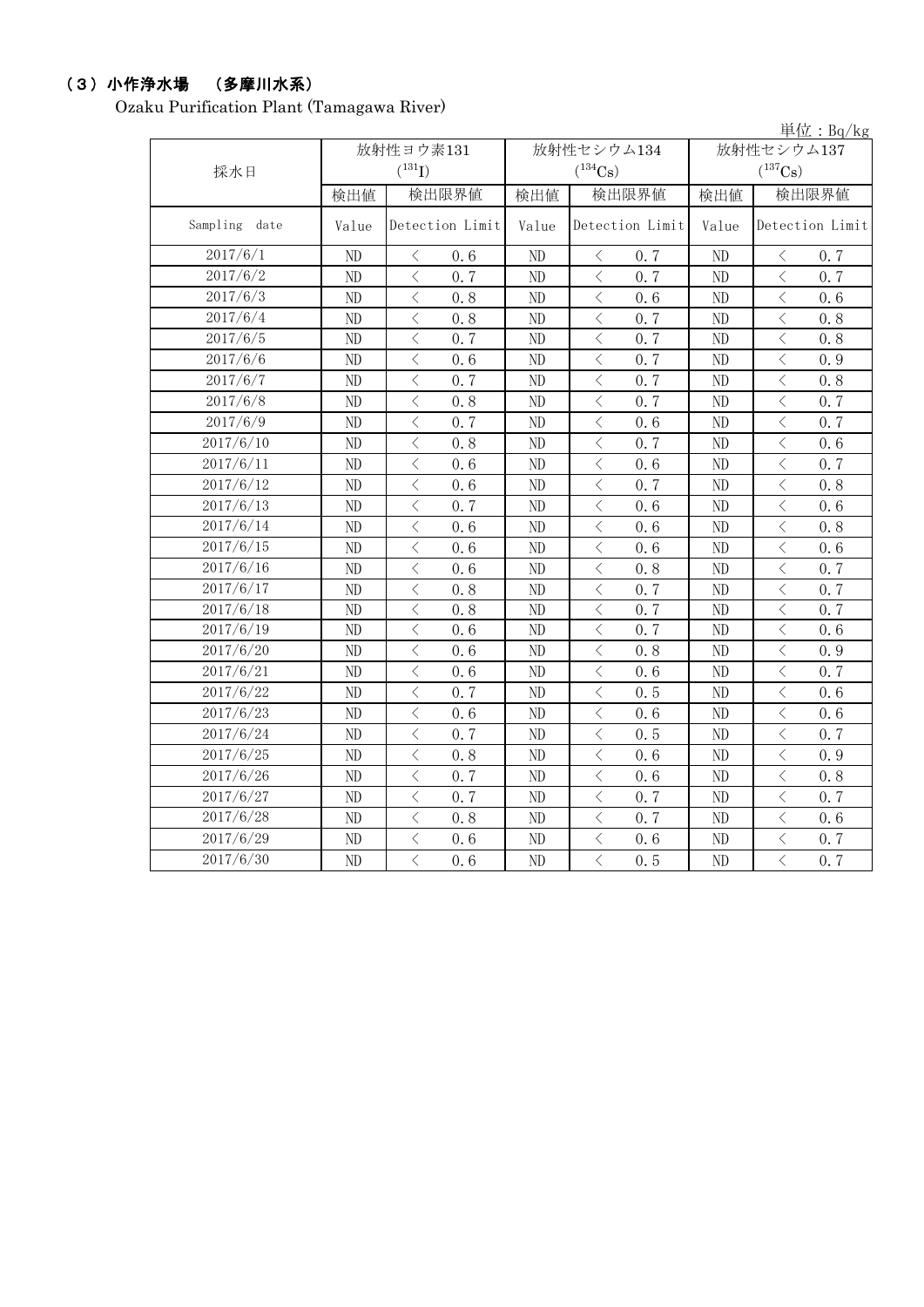# (3)小作浄水場 (多摩川水系)

Ozaku Purification Plant (Tamagawa River)

|               |          |                                                 | 単位: Bg/kg |                                                  |            |                                                 |  |
|---------------|----------|-------------------------------------------------|-----------|--------------------------------------------------|------------|-------------------------------------------------|--|
|               |          | 放射性ヨウ素131                                       |           | 放射性セシウム134                                       | 放射性セシウム137 |                                                 |  |
| 採水日           |          | $(^{131}I)$                                     |           | $(^{134}Cs)$                                     |            | $(^{137}Cs)$                                    |  |
|               | 検出値      | 検出限界値                                           | 検出値       | 検出限界値                                            | 検出値        | 検出限界値                                           |  |
| Sampling date | Value    | Detection Limit                                 | Value     | Detection Limit                                  | Value      | Detection Limit                                 |  |
| 2017/6/1      | ND       | 0, 6<br>$\langle$                               | ND        | $\lt$<br>0, 7                                    | ND         | $\langle$<br>0, 7                               |  |
| 2017/6/2      | ND       | $\overline{\langle}$<br>0.7                     | ND        | $\overline{\left\langle \right\rangle }$<br>0.7  | ND         | $\overline{\left\langle \right\rangle }$<br>0.7 |  |
| 2017/6/3      | $\rm ND$ | $\langle$<br>0.8                                | ND        | $\lt$<br>0.6                                     | ND         | $\langle$<br>0.6                                |  |
| 2017/6/4      | ND       | $\lt$<br>0.8                                    | ND        | $\lt$<br>0.7                                     | ND         | $\lt$<br>0.8                                    |  |
| 2017/6/5      | ND       | $\overline{\left\langle \right\rangle }$<br>0.7 | ND        | $\overline{\left\langle \right\rangle }$<br>0.7  | ND         | $\lt$<br>0.8                                    |  |
| 2017/6/6      | $\rm ND$ | $\,$ $\,$ $\,$<br>0.6                           | ND        | $\lt$<br>0.7                                     | ND         | $\, <\,$<br>0.9                                 |  |
| 2017/6/7      | ND       | $\, <\,$<br>0.7                                 | ND        | $\lt$<br>0.7                                     | ND         | 0.8<br>$\lt$                                    |  |
| 2017/6/8      | ND       | $\,$ $\,$ $\,$<br>0.8                           | ND        | $\langle$<br>0.7                                 | ND         | $\lt$<br>0, 7                                   |  |
| 2017/6/9      | $\rm ND$ | $\overline{\left\langle \right\rangle }$<br>0.7 | ND        | $\langle$<br>0.6                                 | ND         | $\,$ $\,$ $\,$<br>0.7                           |  |
| 2017/6/10     | $\rm ND$ | $\,$ $\,$ $\,$<br>0.8                           | ND        | $\langle$<br>0.7                                 | $\rm ND$   | $\,$ $\,$ $\,$<br>0.6                           |  |
| 2017/6/11     | ND       | $\lt$<br>0.6                                    | ND        | $\lt$<br>0.6                                     | ND         | $\lt$<br>0, 7                                   |  |
| 2017/6/12     | ND       | $\overline{\left\langle \right\rangle }$<br>0.6 | ND        | $\overline{\left\langle \right\rangle }$<br>0.7  | ND         | $\overline{\left\langle \right\rangle }$<br>0.8 |  |
| 2017/6/13     | ND       | $\overline{\left\langle \right\rangle }$<br>0.7 | ND        | $\langle$<br>0.6                                 | ND         | $\langle$<br>0.6                                |  |
| 2017/6/14     | ND       | $\,$ $\,$ $\,$<br>0.6                           | ND        | $\langle$<br>0, 6                                | ND         | $\langle$<br>0.8                                |  |
| 2017/6/15     | ND       | $\overline{\langle}$<br>0.6                     | ND        | $\overline{\left\langle \right\rangle }$<br>0, 6 | ND         | $\langle$<br>0, 6                               |  |
| 2017/6/16     | $\rm ND$ | $\overline{\left\langle \right\rangle }$<br>0.6 | ND        | $\overline{\left\langle \right\rangle }$<br>0.8  | ND         | $\,$ $\,$ $\,$<br>0.7                           |  |
| 2017/6/17     | ND       | $\lt$<br>0.8                                    | ND        | $\langle$<br>0.7                                 | ND         | $\langle$<br>0.7                                |  |
| 2017/6/18     | $\rm ND$ | $\,$ $\,$ $\,$<br>0.8                           | ND        | $\langle$<br>0.7                                 | $\rm ND$   | $\langle$<br>0.7                                |  |
| 2017/6/19     | ND       | $\, \zeta \,$<br>0.6                            | ND        | $\langle$<br>0.7                                 | ND         | $\lt$<br>0.6                                    |  |
| 2017/6/20     | ND       | $\langle$<br>0.6                                | ND        | $\langle$<br>0.8                                 | ND         | $\lt$<br>0.9                                    |  |
| 2017/6/21     | $\rm ND$ | $\,$ $\,$ $\,$<br>0.6                           | ND        | $\lt$<br>0.6                                     | ND         | $\lt$<br>0.7                                    |  |
| 2017/6/22     | ND       | $\, <\,$<br>0.7                                 | ND        | $\lt$<br>0.5                                     | ND         | $\, <\,$<br>0.6                                 |  |
| 2017/6/23     | ND       | $\lt$<br>0, 6                                   | ND        | $\lt$<br>0.6                                     | ND         | $\lt$<br>0.6                                    |  |
| 2017/6/24     | ND       | $\overline{\left\langle \right\rangle }$<br>0.7 | ND        | $\langle$<br>0.5                                 | ND         | $\langle$<br>0.7                                |  |
| 2017/6/25     | $\rm ND$ | $\,$ $\,$ $\,$<br>0.8                           | ND        | $\langle$<br>0.6                                 | $\rm ND$   | $\,$ $\,$ $\,$<br>0.9                           |  |
| 2017/6/26     | ND       | $\lt$<br>0.7                                    | ND        | $\lt$<br>0.6                                     | ND         | $\lt$<br>0.8                                    |  |
| 2017/6/27     | ND       | $\langle$<br>0.7                                | ND        | $\overline{\left\langle \right\rangle }$<br>0.7  | $\rm ND$   | $\overline{\left\langle \right\rangle }$<br>0.7 |  |
| 2017/6/28     | ND       | $\,$ $\,$ $\,$<br>0.8                           | ND        | $\langle$<br>0.7                                 | ND         | $\langle$<br>0.6                                |  |
| 2017/6/29     | ND       | $\langle$<br>0, 6                               | ND        | $\lt$<br>0.6                                     | ND         | $\overline{\left\langle \right\rangle }$<br>0.7 |  |
| 2017/6/30     | ND       | $\overline{\langle}$<br>0.6                     | ND        | $\overline{\langle}$<br>0.5                      | $\rm ND$   | $\overline{\langle}$<br>0.7                     |  |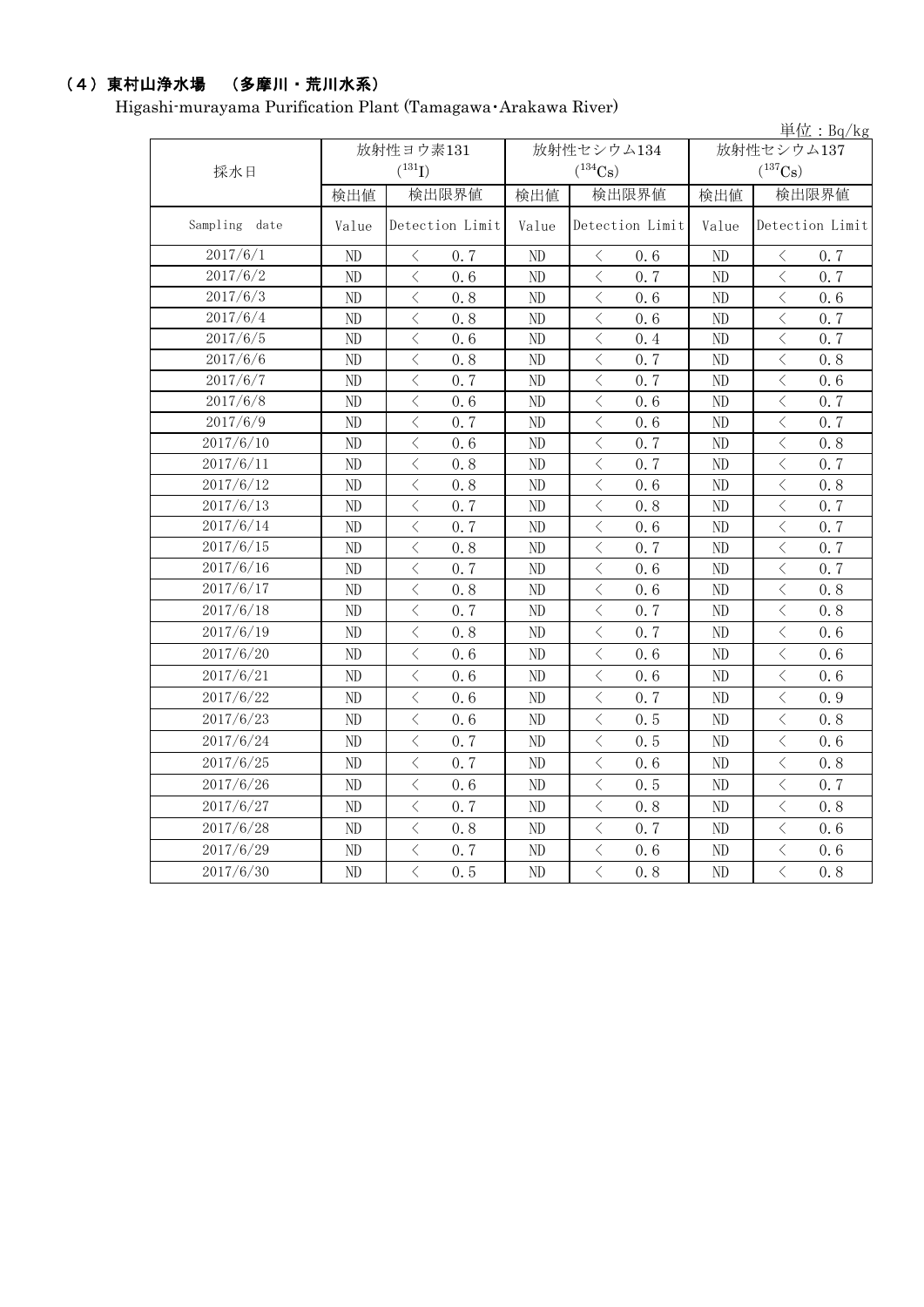# (4)東村山浄水場 (多摩川・荒川水系)

Higashi-murayama Purification Plant (Tamagawa・Arakawa River)

|               | 単位: Bq/kg |                                                  |       |                                                                                                                                                                      |                |                                                 |  |  |  |
|---------------|-----------|--------------------------------------------------|-------|----------------------------------------------------------------------------------------------------------------------------------------------------------------------|----------------|-------------------------------------------------|--|--|--|
|               |           | 放射性ヨウ素131                                        |       | 放射性セシウム134                                                                                                                                                           |                | 放射性セシウム137                                      |  |  |  |
| 採水日           |           | $(^{131}I)$                                      |       | $(^{134}Cs)$                                                                                                                                                         |                | $(^{137}Cs)$                                    |  |  |  |
|               | 検出値       | 検出限界値                                            | 検出値   | 検出限界値                                                                                                                                                                | 検出値            | 検出限界値                                           |  |  |  |
| Sampling date | Value     | Detection Limit                                  | Value | Detection Limit                                                                                                                                                      | Value          | Detection Limit                                 |  |  |  |
| 2017/6/1      | ND        | 0.7<br>$\langle$                                 | ND    | $\langle$<br>0.6                                                                                                                                                     | ND             | 0.7<br>$\langle$                                |  |  |  |
| 2017/6/2      | ND        | $\overline{\left\langle \right\rangle }$<br>0.6  | ND    | $\langle$<br>0.7                                                                                                                                                     | ND             | $\langle$<br>0, 7                               |  |  |  |
| 2017/6/3      | ND        | $\langle$<br>0.8                                 | ND.   | $\lt$<br>0.6                                                                                                                                                         | ND             | $\langle$<br>0, 6                               |  |  |  |
| 2017/6/4      | ND        | $\langle$<br>0.8                                 | ND    | $\lt$<br>0.6                                                                                                                                                         | ND             | $\, \zeta \,$<br>0.7                            |  |  |  |
| 2017/6/5      | ND        | $\,$ $\,$ $\,$<br>0.6                            | ND    | $\lt$<br>0.4                                                                                                                                                         | ND             | $\langle$<br>0.7                                |  |  |  |
| 2017/6/6      | ND        | $\langle$<br>0.8                                 | ND    | $\lt$<br>0.7                                                                                                                                                         | ND             | $\langle$<br>0.8                                |  |  |  |
| 2017/6/7      | ND        | $\langle$<br>0, 7                                | ND    | $\langle$<br>0, 7                                                                                                                                                    | N <sub>D</sub> | $\langle$<br>0, 6                               |  |  |  |
| 2017/6/8      | ND        | $\overline{\left\langle \right\rangle }$<br>0.6  | ND    | $\langle$<br>0.6                                                                                                                                                     | ND             | $\langle$<br>0.7                                |  |  |  |
| 2017/6/9      | ND        | $\,$ $\,$ $\,$<br>0.7                            | ND    | $\lt$<br>0.6                                                                                                                                                         | ND             | $\langle$<br>0, 7                               |  |  |  |
| 2017/6/10     | ND        | $\langle$<br>0, 6                                | ND    | $\overline{\left\langle \right\rangle }$<br>0, 7                                                                                                                     | ND             | $\langle$<br>0.8                                |  |  |  |
| 2017/6/11     | ND        | $\lt$<br>0.8                                     | ND    | $\langle$<br>0.7                                                                                                                                                     | ND             | $\langle$<br>0.7                                |  |  |  |
| 2017/6/12     | ND        | $\,$ $\,$ $\,$<br>0.8                            | ND    | $\langle$<br>0.6                                                                                                                                                     | $\rm ND$       | $\langle$<br>0.8                                |  |  |  |
| 2017/6/13     | ND        | $\lt$<br>0.7                                     | ND    | $\lt$<br>0.8                                                                                                                                                         | ND             | $\lt$<br>0.7                                    |  |  |  |
| 2017/6/14     | ND        | $\overline{\left\langle \right\rangle }$<br>0, 7 | ND    | $\lt$<br>0, 6                                                                                                                                                        | ND             | $\lt$<br>0, 7                                   |  |  |  |
| 2017/6/15     | ND        | $\overline{\left\langle \right\rangle }$<br>0.8  | ND    | $\overline{\left\langle \right. }% ,\left\langle \overline{\left\langle \right. }% ,\left\langle \overline{\left\langle \right\rangle }\right\rangle \right.$<br>0.7 | ND             | $\langle$<br>0.7                                |  |  |  |
| 2017/6/16     | ND        | $\lt$<br>0.7                                     | ND    | $\langle$<br>0.6                                                                                                                                                     | ND             | $\langle$<br>0.7                                |  |  |  |
| 2017/6/17     | ND        | $\lt$<br>0.8                                     | ND    | $\langle$<br>0.6                                                                                                                                                     | ND             | $\overline{\left\langle \right\rangle }$<br>0.8 |  |  |  |
| 2017/6/18     | ND        | $\, <\,$<br>0.7                                  | ND    | $\lt$<br>0.7                                                                                                                                                         | ND             | $\, <\,$<br>0.8                                 |  |  |  |
| 2017/6/19     | $\rm ND$  | $\langle$<br>0.8                                 | ND    | $\lt$<br>0.7                                                                                                                                                         | ND             | $\lt$<br>0.6                                    |  |  |  |
| 2017/6/20     | ND        | $\langle$<br>0.6                                 | ND    | $\lt$<br>0.6                                                                                                                                                         | ND             | $\langle$<br>0.6                                |  |  |  |
| 2017/6/21     | ND        | $\overline{\left\langle \right\rangle }$<br>0.6  | ND    | $\overline{\left\langle \right\rangle }$<br>0.6                                                                                                                      | ND             | $\langle$<br>0, 6                               |  |  |  |
| 2017/6/22     | ND        | $\langle$<br>0.6                                 | ND    | $\lt$<br>0.7                                                                                                                                                         | ND             | $\langle$<br>0.9                                |  |  |  |
| 2017/6/23     | ND        | $\,$ $\,$ $\,$<br>0.6                            | ND    | $\lt$<br>0.5                                                                                                                                                         | ND             | $\,$ $\,$ $\,$<br>0.8                           |  |  |  |
| 2017/6/24     | ND        | $\langle$<br>0.7                                 | ND    | $\langle$<br>0.5                                                                                                                                                     | ND             | $\langle$<br>0.6                                |  |  |  |
| 2017/6/25     | ND        | $\lt$<br>0.7                                     | ND    | $\langle$<br>0.6                                                                                                                                                     | ND             | $\lt$<br>0.8                                    |  |  |  |
| 2017/6/26     | ND        | $\langle$<br>0.6                                 | ND    | 0.5<br>$\lt$                                                                                                                                                         | ND             | $\lt$<br>0.7                                    |  |  |  |
| 2017/6/27     | ND        | $\langle$<br>0.7                                 | ND    | $\lt$<br>0.8                                                                                                                                                         | ND             | $\langle$<br>0.8                                |  |  |  |
| 2017/6/28     | ND        | $\langle$<br>0.8                                 | ND    | $\lt$<br>0.7                                                                                                                                                         | ND             | $\langle$<br>0.6                                |  |  |  |
| 2017/6/29     | ND        | $\lt$<br>0.7                                     | ND.   | $\lt$<br>0.6                                                                                                                                                         | ND             | $\lt$<br>0, 6                                   |  |  |  |
| 2017/6/30     | ND        | $\overline{\left\langle \right\rangle }$<br>0.5  | ND    | $\overline{\left\langle \right\rangle }$<br>0.8                                                                                                                      | ND             | $\overline{\left\langle \right\rangle }$<br>0.8 |  |  |  |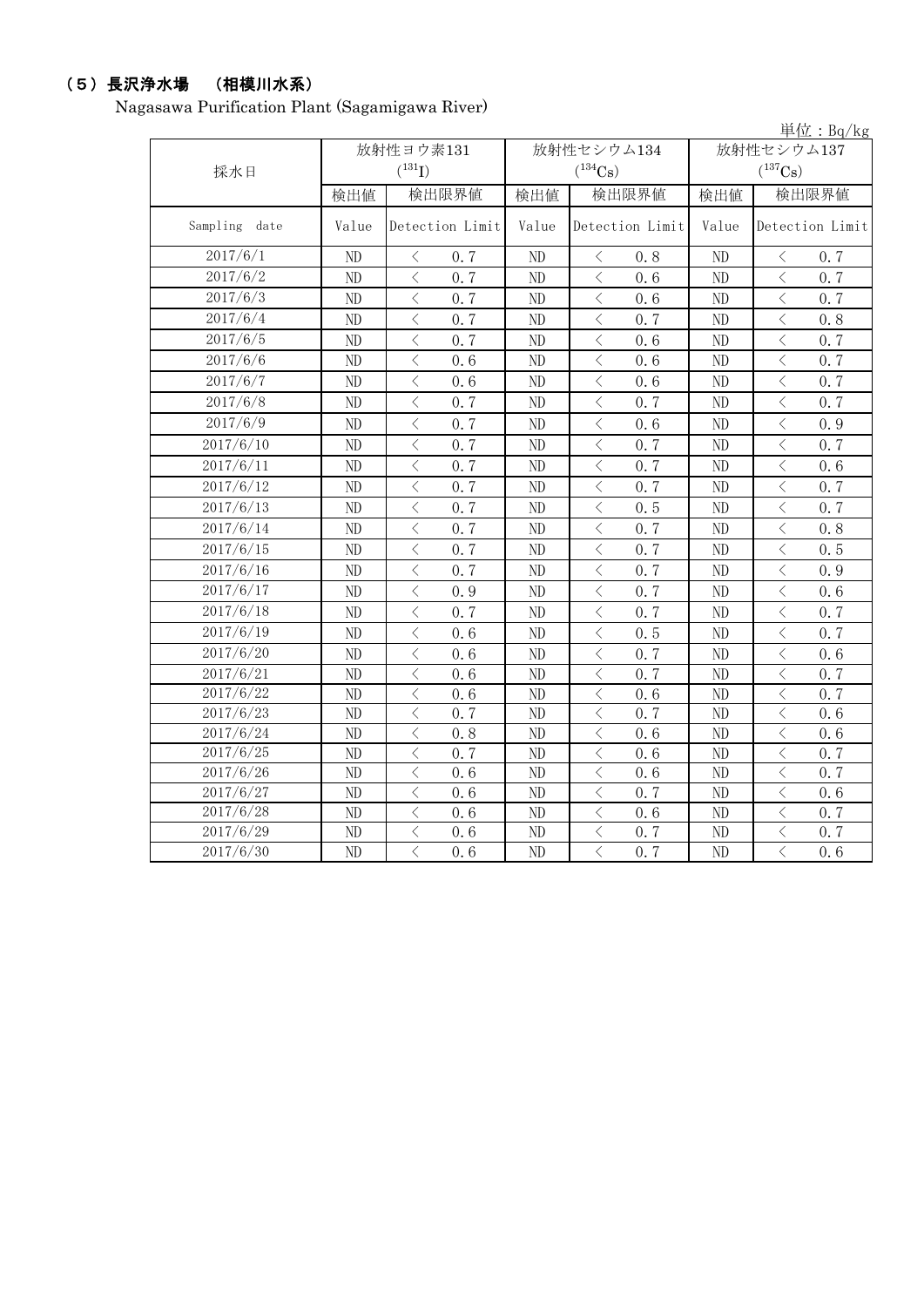# (5)長沢浄水場 (相模川水系)

Nagasawa Purification Plant (Sagamigawa River)

|               |          |                                                  |       |                              |            | 単位: $Bq/kg$                                      |  |
|---------------|----------|--------------------------------------------------|-------|------------------------------|------------|--------------------------------------------------|--|
|               |          | 放射性ヨウ素131                                        |       | 放射性セシウム134                   | 放射性セシウム137 |                                                  |  |
| 採水日           |          | $(^{131}I)$                                      |       | $(^{134}Cs)$                 |            | $(^{137}Cs)$                                     |  |
|               | 検出値      | 検出限界値                                            | 検出値   | 検出限界値                        | 検出値        | 検出限界値                                            |  |
| Sampling date | Value    | Detection Limit                                  | Value | Detection Limit              | Value      | Detection Limit                                  |  |
| 2017/6/1      | ND       | $\langle$<br>0.7                                 | ND    | $\lt$<br>0, 8                | ND         | $\langle$<br>0.7                                 |  |
| 2017/6/2      | ND       | $\,$ $\,$ $\,$<br>0.7                            | ND    | $\,$ $\,$ $\,$<br>0, 6       | $\rm ND$   | $\langle$<br>0.7                                 |  |
| 2017/6/3      | ND       | $\lt$<br>0.7                                     | ND    | $\langle$<br>0.6             | ND         | $\, <\,$<br>0.7                                  |  |
| 2017/6/4      | ND       | $\lt$<br>0.7                                     | ND    | $\langle$<br>0, 7            | ND         | $\lt$<br>0, 8                                    |  |
| 2017/6/5      | $\rm ND$ | $\langle$<br>0.7                                 | ND    | $\lt$<br>0.6                 | ND         | $\langle$<br>0.7                                 |  |
| 2017/6/6      | ND       | $\overline{\left\langle \right\rangle }$<br>0.6  | ND    | $\, < \,$<br>0.6             | $\rm ND$   | $\langle$<br>0.7                                 |  |
| 2017/6/7      | $\rm ND$ | $\overline{\left\langle \right\rangle }$<br>0.6  | ND    | $\lt$<br>0.6                 | ND         | $\langle$<br>0, 7                                |  |
| 2017/6/8      | ND       | $\overline{\left\langle \right\rangle }$<br>0.7  | ND    | $\lt$<br>0.7                 | ND         | $\overline{\left\langle \right\rangle }$<br>0, 7 |  |
| 2017/6/9      | $\rm ND$ | $\langle$<br>0.7                                 | ND    | $\,$ $\,$ $\,$<br>0.6        | ND         | $\overline{\left\langle \right\rangle }$<br>0.9  |  |
| 2017/6/10     | $\rm ND$ | $\lt$<br>0.7                                     | ND    | $\langle$<br>0.7             | $\rm ND$   | $\lt$<br>0.7                                     |  |
| 2017/6/11     | $\rm ND$ | $\overline{\left\langle \right\rangle }$<br>0, 7 | ND    | $\langle$<br>0, 7            | ND         | $\langle$<br>0, 6                                |  |
| 2017/6/12     | ND       | $\langle$<br>0.7                                 | ND    | $\langle$<br>0.7             | $\rm ND$   | $\langle$<br>0.7                                 |  |
| 2017/6/13     | $\rm ND$ | $\lt$<br>0.7                                     | ND    | $\langle$<br>0.5             | ND         | $\lt$<br>0.7                                     |  |
| 2017/6/14     | ND       | $\,$ $\,$ $\,$<br>0.7                            | ND    | $\langle$<br>0.7             | ND         | $\langle$<br>0.8                                 |  |
| 2017/6/15     | ND       | $\lt$<br>0.7                                     | ND    | $\langle$<br>0.7             | $\rm ND$   | $\langle$<br>0.5                                 |  |
| 2017/6/16     | $\rm ND$ | $\,$ $\,$ $\,$<br>0.7                            | ND    | $\,$ $\,$ $\,$<br>0.7        | $\rm ND$   | $\langle$<br>0.9                                 |  |
| 2017/6/17     | $\rm ND$ | $\overline{\left\langle \right\rangle }$<br>0.9  | ND    | $\, < \,$<br>0.7             | ND         | $\overline{\left\langle \right\rangle }$<br>0.6  |  |
| 2017/6/18     | $\rm ND$ | $\lt$<br>0.7                                     | ND    | $\,<\,$<br>0.7               | ND         | $\langle$<br>0.7                                 |  |
| 2017/6/19     | ND       | $\langle$<br>0.6                                 | ND    | $\langle$<br>0.5             | ND         | $\langle$<br>0, 7                                |  |
| 2017/6/20     | $\rm ND$ | $\langle$<br>0.6                                 | ND    | $\,$ $\,$ $\,$<br>0.7        | $\rm ND$   | $\langle$<br>0.6                                 |  |
| 2017/6/21     | $\rm ND$ | $\lt$<br>0.6                                     | ND    | $\,<\,$<br>0.7               | ND         | $\lt$<br>0.7                                     |  |
| 2017/6/22     | ND       | $\lt$<br>0.6                                     | ND    | $\lt$<br>0.6                 | ND         | $\lt$<br>0.7                                     |  |
| 2017/6/23     | $\rm ND$ | $\lt$<br>0.7                                     | ND    | $\lt$<br>0.7                 | ND         | $\lt$<br>0.6                                     |  |
| 2017/6/24     | ND       | $\lt$<br>0.8                                     | ND    | $\lt$<br>0.6                 | ND         | $\lt$<br>0.6                                     |  |
| 2017/6/25     | $\rm ND$ | $\lt$<br>0.7                                     | ND    | $\lt$<br>0.6                 | ND         | $\lt$<br>0.7                                     |  |
| 2017/6/26     | $\rm ND$ | $\langle$<br>0.6                                 | ND    | $\,<\,$<br>0.6               | ND         | $\,$ $\,$ $\,$<br>0.7                            |  |
| 2017/6/27     | $\rm ND$ | $\langle$<br>0.6                                 | ND    | $\overline{\langle}$<br>0.7  | $\rm ND$   | $\lt$<br>0.6                                     |  |
| 2017/6/28     | $\rm ND$ | $\langle$<br>0, 6                                | ND    | $\langle$<br>0.6             | $\rm ND$   | $\langle$<br>0, 7                                |  |
| 2017/6/29     | $\rm ND$ | $\lt$<br>0.6                                     | ND    | $\,<\,$<br>0, 7              | ND         | $\lt$<br>0.7                                     |  |
| 2017/6/30     | ND       | $\overline{\langle}$<br>0.6                      | ND    | $\overline{\langle}$<br>0, 7 | ND         | $\overline{\langle}$<br>0, 6                     |  |